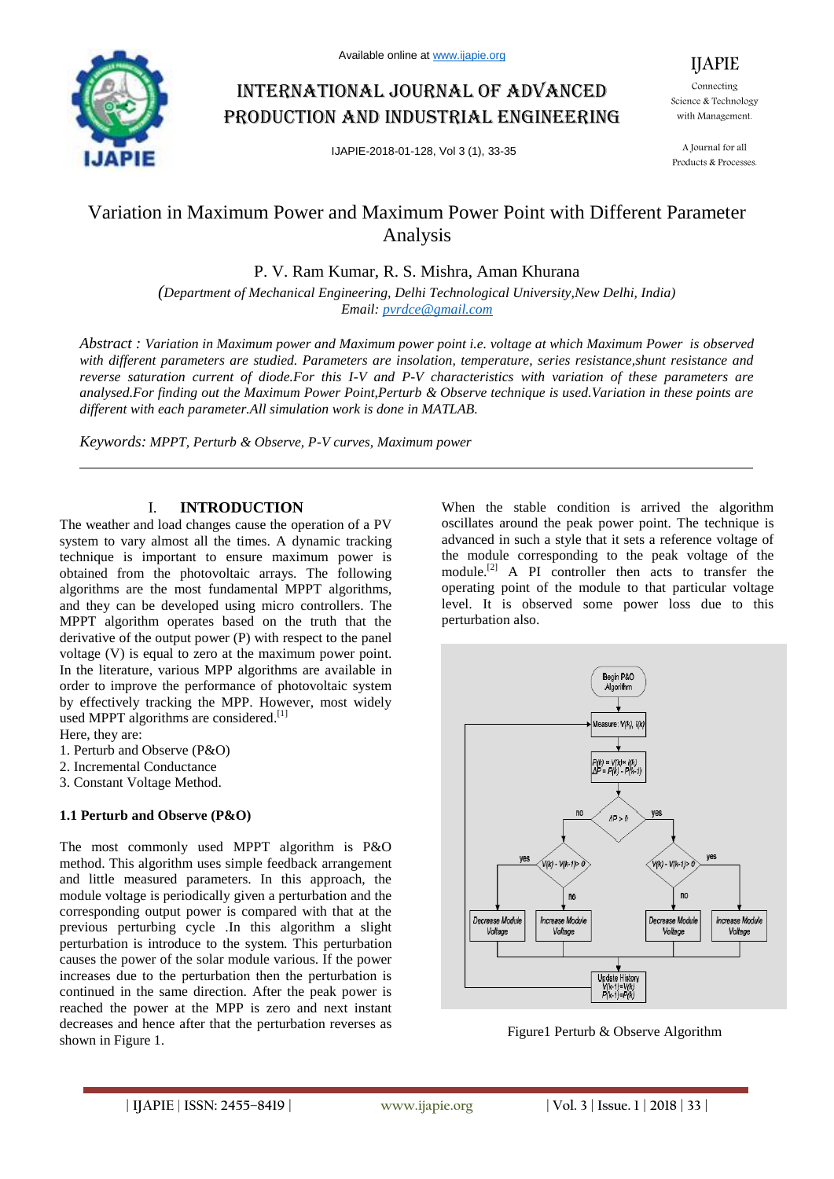

# International journal of advanced production and industrial engineering

IJAPIE-2018-01-128, Vol 3 (1), 33-35

Connecting Science & Technology with Management.

IJAPIE

A Journal for all Products & Processes.

## Variation in Maximum Power and Maximum Power Point with Different Parameter Analysis

P. V. Ram Kumar, R. S. Mishra, Aman Khurana

*(Department of Mechanical Engineering, Delhi Technological University,New Delhi, India) Email: pvrdce@gmail.com*

*Abstract : Variation in Maximum power and Maximum power point i.e. voltage at which Maximum Power is observed with different parameters are studied. Parameters are insolation, temperature, series resistance,shunt resistance and reverse saturation current of diode.For this I-V and P-V characteristics with variation of these parameters are analysed.For finding out the Maximum Power Point,Perturb & Observe technique is used.Variation in these points are different with each parameter.All simulation work is done in MATLAB.*

*Keywords: MPPT, Perturb & Observe, P-V curves, Maximum power*

#### I. **INTRODUCTION**

The weather and load changes cause the operation of a PV system to vary almost all the times. A dynamic tracking technique is important to ensure maximum power is obtained from the photovoltaic arrays. The following algorithms are the most fundamental MPPT algorithms, and they can be developed using micro controllers. The MPPT algorithm operates based on the truth that the derivative of the output power (P) with respect to the panel voltage (V) is equal to zero at the maximum power point. In the literature, various MPP algorithms are available in order to improve the performance of photovoltaic system by effectively tracking the MPP. However, most widely used MPPT algorithms are considered.<sup>[1]</sup>

Here, they are:

1. Perturb and Observe (P&O)

- 2. Incremental Conductance
- 3. Constant Voltage Method.

#### **1.1 Perturb and Observe (P&O)**

The most commonly used MPPT algorithm is P&O method. This algorithm uses simple feedback arrangement and little measured parameters. In this approach, the module voltage is periodically given a perturbation and the corresponding output power is compared with that at the previous perturbing cycle .In this algorithm a slight perturbation is introduce to the system. This perturbation causes the power of the solar module various. If the power increases due to the perturbation then the perturbation is continued in the same direction. After the peak power is reached the power at the MPP is zero and next instant decreases and hence after that the perturbation reverses as shown in Figure 1.

When the stable condition is arrived the algorithm oscillates around the peak power point. The technique is advanced in such a style that it sets a reference voltage of the module corresponding to the peak voltage of the module.[2] A PI controller then acts to transfer the operating point of the module to that particular voltage level. It is observed some power loss due to this perturbation also.



Figure1 Perturb & Observe Algorithm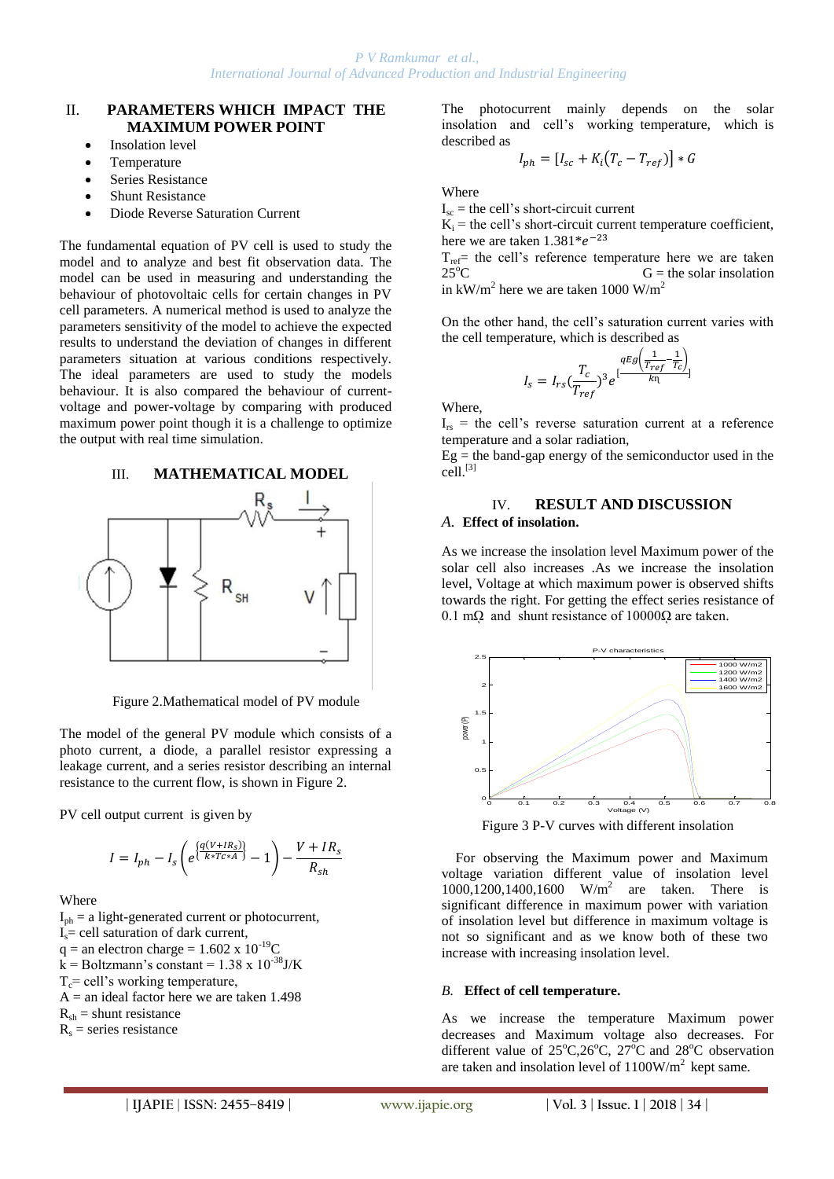#### II. **PARAMETERS WHICH IMPACT THE MAXIMUM POWER POINT**

- Insolation level
- Temperature
- **Series Resistance**
- Shunt Resistance
- Diode Reverse Saturation Current

The fundamental equation of PV cell is used to study the model and to analyze and best fit observation data. The model can be used in measuring and understanding the behaviour of photovoltaic cells for certain changes in PV cell parameters. A numerical method is used to analyze the parameters sensitivity of the model to achieve the expected results to understand the deviation of changes in different parameters situation at various conditions respectively. The ideal parameters are used to study the models behaviour. It is also compared the behaviour of currentvoltage and power-voltage by comparing with produced maximum power point though it is a challenge to optimize the output with real time simulation.





Figure 2.Mathematical model of PV module

The model of the general PV module which consists of a photo current, a diode, a parallel resistor expressing a leakage current, and a series resistor describing an internal resistance to the current flow, is shown in Figure 2.

PV cell output current is given by

$$
I = I_{ph} - I_s \left( e^{\left\{ \frac{q(V + IR_s)}{k * T c * A} \right\}} - 1 \right) - \frac{V + IR_s}{R_{sh}}
$$

Where

 $I_{ph} = a$  light-generated current or photocurrent,  $I_s$  = cell saturation of dark current,  $q =$  an electron charge = 1.602 x  $10^{-19}$ C  $k =$ Boltzmann's constant = 1.38 x 10<sup>-38</sup>J/K  $T_c$ = cell's working temperature,  $A =$  an ideal factor here we are taken 1.498  $R_{sh}$  = shunt resistance  $R<sub>s</sub>$  = series resistance

The photocurrent mainly depends on the solar insolation and cell's working temperature, which is described as

$$
I_{ph} = [I_{sc} + K_i(T_c - T_{ref})] * G
$$

Where

 $I_{\rm sc}$  = the cell's short-circuit current

 $K_i$  = the cell's short-circuit current temperature coefficient, here we are taken  $1.381^*e^-$ 

 $T_{ref}$  the cell's reference temperature here we are taken  $25^{\circ}$ C  $G$  = the solar insolation  $G =$  the solar insolation in  $kW/m^2$  here we are taken 1000 W/m<sup>2</sup>

On the other hand, the cell's saturation current varies with the cell temperature, which is described as

$$
I_s = I_{rs} \left(\frac{T_c}{T_{ref}}\right)^3 e^{\left[\frac{qEg\left(\frac{1}{T_{ref}} - \frac{1}{T_c}\right)}{k\eta}\right]}
$$

Where,

 $I_{rs}$  = the cell's reverse saturation current at a reference temperature and a solar radiation,

 $Eg$  = the band-gap energy of the semiconductor used in the cell.<sup>[3]</sup>

#### IV. **RESULT AND DISCUSSION** *A.* **Effect of insolation.**

As we increase the insolation level Maximum power of the solar cell also increases .As we increase the insolation level, Voltage at which maximum power is observed shifts towards the right. For getting the effect series resistance of 0.1 m $\Omega$  and shunt resistance of 10000 $\Omega$  are taken.



Figure 3 P-V curves with different insolation

For observing the Maximum power and Maximum voltage variation different value of insolation level 1000,1200,1400,1600 W/m<sup>2</sup> are taken. There is significant difference in maximum power with variation of insolation level but difference in maximum voltage is not so significant and as we know both of these two increase with increasing insolation level.

#### *B.* **Effect of cell temperature.**

As we increase the temperature Maximum power decreases and Maximum voltage also decreases. For different value of  $25^{\circ}$ C,  $26^{\circ}$ C,  $27^{\circ}$ C and  $28^{\circ}$ C observation are taken and insolation level of  $1100W/m<sup>2</sup>$  kept same.